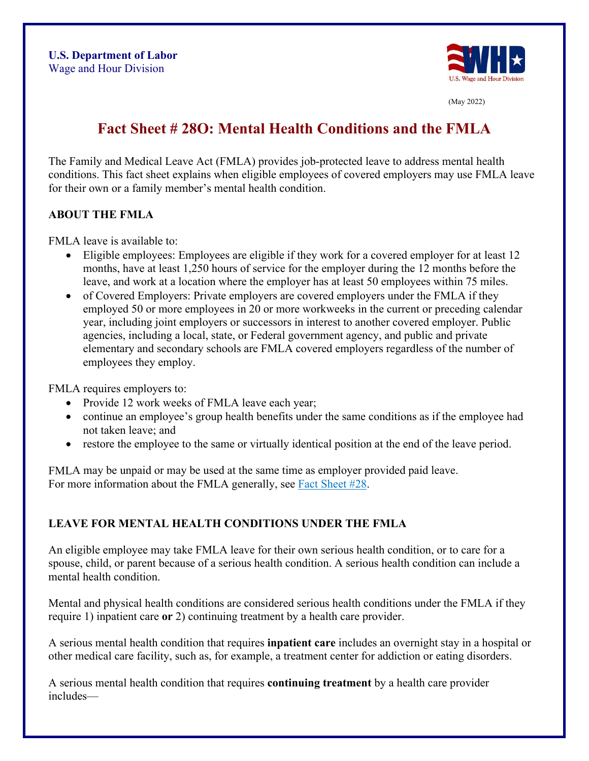

(May 2022)

# **Fact Sheet # 28O: Mental Health Conditions and the FMLA**

The Family and Medical Leave Act (FMLA) provides job-protected leave to address mental health conditions. This fact sheet explains when eligible employees of covered employers may use FMLA leave for their own or a family member's mental health condition.

#### **ABOUT THE FMLA**

FMLA leave is available to:

- Eligible employees: Employees are eligible if they work for a covered employer for at least 12 months, have at least 1,250 hours of service for the employer during the 12 months before the leave, and work at a location where the employer has at least 50 employees within 75 miles.
- of Covered Employers: Private employers are covered employers under the FMLA if they employed 50 or more employees in 20 or more workweeks in the current or preceding calendar year, including joint employers or successors in interest to another covered employer. Public agencies, including a local, state, or Federal government agency, and public and private elementary and secondary schools are FMLA covered employers regardless of the number of employees they employ.

FMLA requires employers to:

- Provide 12 work weeks of FMLA leave each year;
- continue an employee's group health benefits under the same conditions as if the employee had not taken leave; and
- restore the employee to the same or virtually identical position at the end of the leave period.

FMLA may be unpaid or may be used at the same time as employer provided paid leave. For more information about the FMLA generally, see [Fact Sheet #28.](https://www.dol.gov/agencies/whd/fact-sheets/28-fmla)

## **LEAVE FOR MENTAL HEALTH CONDITIONS UNDER THE FMLA**

An eligible employee may take FMLA leave for their own serious health condition, or to care for a spouse, child, or parent because of a serious health condition. A serious health condition can include a mental health condition.

Mental and physical health conditions are considered serious health conditions under the FMLA if they require 1) inpatient care **or** 2) continuing treatment by a health care provider.

A serious mental health condition that requires **inpatient care** includes an overnight stay in a hospital or other medical care facility, such as, for example, a treatment center for addiction or eating disorders.

A serious mental health condition that requires **continuing treatment** by a health care provider includes—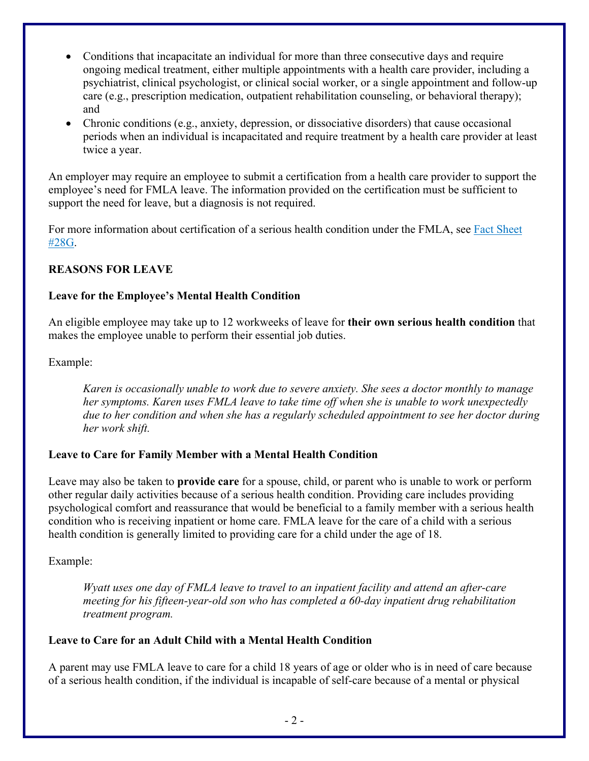- Conditions that incapacitate an individual for more than three consecutive days and require ongoing medical treatment, either multiple appointments with a health care provider, including a psychiatrist, clinical psychologist, or clinical social worker, or a single appointment and follow-up care (e.g., prescription medication, outpatient rehabilitation counseling, or behavioral therapy); and
- Chronic conditions (e.g., anxiety, depression, or dissociative disorders) that cause occasional periods when an individual is incapacitated and require treatment by a health care provider at least twice a year.

An employer may require an employee to submit a certification from a health care provider to support the employee's need for FMLA leave. The information provided on the certification must be sufficient to support the need for leave, but a diagnosis is not required.

For more information about certification of a serious health condition under the FMLA, see [Fact Sheet](https://www.dol.gov/agencies/whd/fact-sheets/28g-fmla-serious-health-condition)  [#28G.](https://www.dol.gov/agencies/whd/fact-sheets/28g-fmla-serious-health-condition)

#### **REASONS FOR LEAVE**

#### **Leave for the Employee's Mental Health Condition**

An eligible employee may take up to 12 workweeks of leave for **their own serious health condition** that makes the employee unable to perform their essential job duties.

#### Example:

*Karen is occasionally unable to work due to severe anxiety. She sees a doctor monthly to manage her symptoms. Karen uses FMLA leave to take time off when she is unable to work unexpectedly due to her condition and when she has a regularly scheduled appointment to see her doctor during her work shift.* 

#### **Leave to Care for Family Member with a Mental Health Condition**

Leave may also be taken to **provide care** for a spouse, child, or parent who is unable to work or perform other regular daily activities because of a serious health condition. Providing care includes providing psychological comfort and reassurance that would be beneficial to a family member with a serious health condition who is receiving inpatient or home care. FMLA leave for the care of a child with a serious health condition is generally limited to providing care for a child under the age of 18.

#### Example:

*Wyatt uses one day of FMLA leave to travel to an inpatient facility and attend an after-care meeting for his fifteen-year-old son who has completed a 60-day inpatient drug rehabilitation treatment program.* 

#### **Leave to Care for an Adult Child with a Mental Health Condition**

A parent may use FMLA leave to care for a child 18 years of age or older who is in need of care because of a serious health condition, if the individual is incapable of self-care because of a mental or physical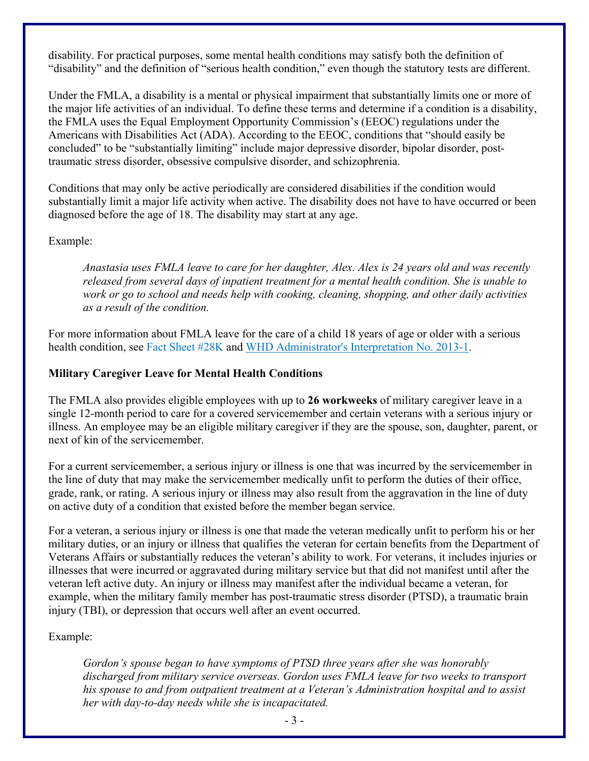disability. For practical purposes, some mental health conditions may satisfy both the definition of "disability" and the definition of "serious health condition," even though the statutory tests are different.

Under the FMLA, a disability is a mental or physical impairment that substantially limits one or more of the major life activities of an individual. To define these terms and determine if a condition is a disability, the FMLA uses the Equal Employment Opportunity Commission's (EEOC) regulations under the Americans with Disabilities Act (ADA). According to the EEOC, conditions that "should easily be concluded" to be "substantially limiting" include major depressive disorder, bipolar disorder, posttraumatic stress disorder, obsessive compulsive disorder, and schizophrenia.

Conditions that may only be active periodically are considered disabilities if the condition would substantially limit a major life activity when active. The disability does not have to have occurred or been diagnosed before the age of 18. The disability may start at any age.

#### Example:

*Anastasia uses FMLA leave to care for her daughter, Alex. Alex is 24 years old and was recently released from several days of inpatient treatment for a mental health condition. She is unable to work or go to school and needs help with cooking, cleaning, shopping, and other daily activities as a result of the condition.* 

For more information about FMLA leave for the care of a child 18 years of age or older with a serious health condition, see [Fact Sheet #28K](https://www.dol.gov/sites/dolgov/files/WHD/legacy/files/whdfs28k.pdf) and [WHD Administrator's Interpretation No. 2013-1.](https://www.dol.gov/agencies/whd/opinion-letters/administrator-interpretation/fmla/2013-1)

#### **Military Caregiver Leave for Mental Health Conditions**

The FMLA also provides eligible employees with up to **26 workweeks** of military caregiver leave in a single 12-month period to care for a covered servicemember and certain veterans with a serious injury or illness. An employee may be an eligible military caregiver if they are the spouse, son, daughter, parent, or next of kin of the servicemember.

For a current servicemember, a serious injury or illness is one that was incurred by the servicemember in the line of duty that may make the servicemember medically unfit to perform the duties of their office, grade, rank, or rating. A serious injury or illness may also result from the aggravation in the line of duty on active duty of a condition that existed before the member began service.

For a veteran, a serious injury or illness is one that made the veteran medically unfit to perform his or her military duties, or an injury or illness that qualifies the veteran for certain benefits from the Department of Veterans Affairs or substantially reduces the veteran's ability to work. For veterans, it includes injuries or illnesses that were incurred or aggravated during military service but that did not manifest until after the veteran left active duty. An injury or illness may manifest after the individual became a veteran, for example, when the military family member has post-traumatic stress disorder (PTSD), a traumatic brain injury (TBI), or depression that occurs well after an event occurred.

## Example:

*Gordon's spouse began to have symptoms of PTSD three years after she was honorably discharged from military service overseas. Gordon uses FMLA leave for two weeks to transport his spouse to and from outpatient treatment at a Veteran's Administration hospital and to assist her with day-to-day needs while she is incapacitated.*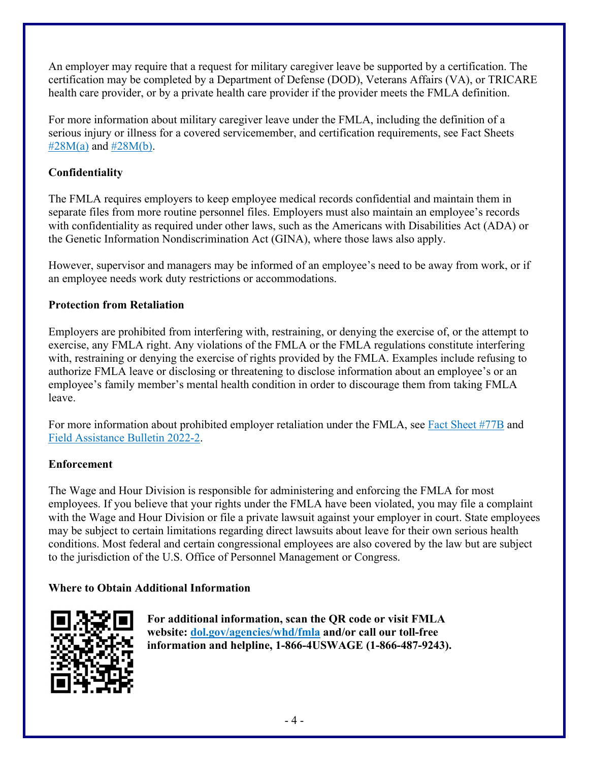An employer may require that a request for military caregiver leave be supported by a certification. The certification may be completed by a Department of Defense (DOD), Veterans Affairs (VA), or TRICARE health care provider, or by a private health care provider if the provider meets the FMLA definition.

For more information about military caregiver leave under the FMLA, including the definition of a serious injury or illness for a covered servicemember, and certification requirements, see Fact Sheets  $\#28M(a)$  $\#28M(a)$  and  $\#28M(b)$ .

## **Confidentiality**

The FMLA requires employers to keep employee medical records confidential and maintain them in separate files from more routine personnel files. Employers must also maintain an employee's records with confidentiality as required under other laws, such as the Americans with Disabilities Act (ADA) or the Genetic Information Nondiscrimination Act (GINA), where those laws also apply.

However, supervisor and managers may be informed of an employee's need to be away from work, or if an employee needs work duty restrictions or accommodations.

## **Protection from Retaliation**

Employers are prohibited from interfering with, restraining, or denying the exercise of, or the attempt to exercise, any FMLA right. Any violations of the FMLA or the FMLA regulations constitute interfering with, restraining or denying the exercise of rights provided by the FMLA. Examples include refusing to authorize FMLA leave or disclosing or threatening to disclose information about an employee's or an employee's family member's mental health condition in order to discourage them from taking FMLA leave.

For more information about prohibited employer retaliation under the FMLA, see Fact Sheet [#77B](https://www.dol.gov/sites/dolgov/files/WHD/legacy/files/whdfs77b.pdf) and Field [Assistance Bulletin 2022-2.](https://www.dol.gov/sites/dolgov/files/WHD/fab/fab-2022-2.pdf)

## **Enforcement**

The Wage and Hour Division is responsible for administering and enforcing the FMLA for most employees. If you believe that your rights under the FMLA have been violated, you may file a complaint with the Wage and Hour Division or file a private lawsuit against your employer in court. State employees may be subject to certain limitations regarding direct lawsuits about leave for their own serious health conditions. Most federal and certain congressional employees are also covered by the law but are subject to the jurisdiction of the U.S. Office of Personnel Management or Congress.

## **Where to Obtain Additional Information**



**For additional information, scan the QR code or visit FMLA website: [dol.gov/agencies/whd/fmla](https://www.dol.gov/agencies/whd/fmla) and/or call our toll-free information and helpline, 1-866-4USWAGE (1-866-487-9243).**